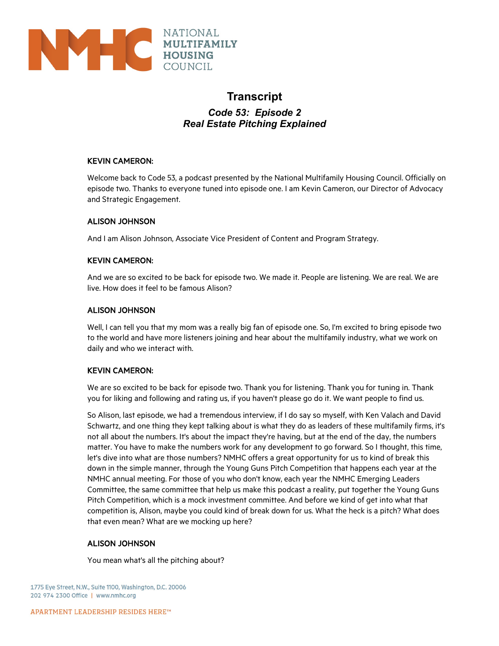

# **Transcript**

*Code 53: Episode 2 Real Estate Pitching Explained* 

## KEVIN CAMERON:

Welcome back to Code 53, a podcast presented by the National Multifamily Housing Council. Officially on episode two. Thanks to everyone tuned into episode one. I am Kevin Cameron, our Director of Advocacy and Strategic Engagement.

## ALISON JOHNSON

And I am Alison Johnson, Associate Vice President of Content and Program Strategy.

## KEVIN CAMERON:

And we are so excited to be back for episode two. We made it. People are listening. We are real. We are live. How does it feel to be famous Alison?

## ALISON JOHNSON

Well, I can tell you that my mom was a really big fan of episode one. So, I'm excited to bring episode two to the world and have more listeners joining and hear about the multifamily industry, what we work on daily and who we interact with.

## KEVIN CAMERON:

We are so excited to be back for episode two. Thank you for listening. Thank you for tuning in. Thank you for liking and following and rating us, if you haven't please go do it. We want people to find us.

So Alison, last episode, we had a tremendous interview, if I do say so myself, with Ken Valach and David Schwartz, and one thing they kept talking about is what they do as leaders of these multifamily firms, it's not all about the numbers. It's about the impact they're having, but at the end of the day, the numbers matter. You have to make the numbers work for any development to go forward. So I thought, this time, let's dive into what are those numbers? NMHC offers a great opportunity for us to kind of break this down in the simple manner, through the Young Guns Pitch Competition that happens each year at the NMHC annual meeting. For those of you who don't know, each year the NMHC Emerging Leaders Committee, the same committee that help us make this podcast a reality, put together the Young Guns Pitch Competition, which is a mock investment committee. And before we kind of get into what that competition is, Alison, maybe you could kind of break down for us. What the heck is a pitch? What does that even mean? What are we mocking up here?

## ALISON JOHNSON

You mean what's all the pitching about?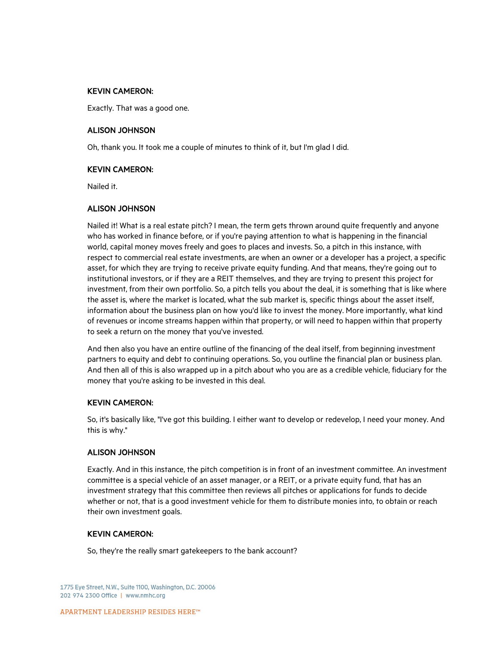Exactly. That was a good one.

#### ALISON JOHNSON

Oh, thank you. It took me a couple of minutes to think of it, but I'm glad I did.

#### KEVIN CAMERON:

Nailed it.

## ALISON JOHNSON

Nailed it! What is a real estate pitch? I mean, the term gets thrown around quite frequently and anyone who has worked in finance before, or if you're paying attention to what is happening in the financial world, capital money moves freely and goes to places and invests. So, a pitch in this instance, with respect to commercial real estate investments, are when an owner or a developer has a project, a specific asset, for which they are trying to receive private equity funding. And that means, they're going out to institutional investors, or if they are a REIT themselves, and they are trying to present this project for investment, from their own portfolio. So, a pitch tells you about the deal, it is something that is like where the asset is, where the market is located, what the sub market is, specific things about the asset itself, information about the business plan on how you'd like to invest the money. More importantly, what kind of revenues or income streams happen within that property, or will need to happen within that property to seek a return on the money that you've invested.

And then also you have an entire outline of the financing of the deal itself, from beginning investment partners to equity and debt to continuing operations. So, you outline the financial plan or business plan. And then all of this is also wrapped up in a pitch about who you are as a credible vehicle, fiduciary for the money that you're asking to be invested in this deal.

#### KEVIN CAMERON:

So, it's basically like, "I've got this building. I either want to develop or redevelop, I need your money. And this is why."

#### ALISON JOHNSON

Exactly. And in this instance, the pitch competition is in front of an investment committee. An investment committee is a special vehicle of an asset manager, or a REIT, or a private equity fund, that has an investment strategy that this committee then reviews all pitches or applications for funds to decide whether or not, that is a good investment vehicle for them to distribute monies into, to obtain or reach their own investment goals.

## KEVIN CAMERON:

So, they're the really smart gatekeepers to the bank account?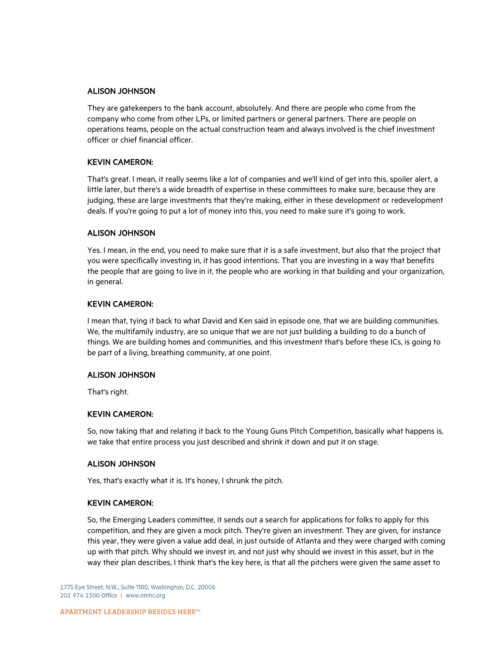#### ALISON JOHNSON

They are gatekeepers to the bank account, absolutely. And there are people who come from the company who come from other LPs, or limited partners or general partners. There are people on operations teams, people on the actual construction team and always involved is the chief investment officer or chief financial officer.

## KEVIN CAMERON:

That's great. I mean, it really seems like a lot of companies and we'll kind of get into this, spoiler alert, a little later, but there's a wide breadth of expertise in these committees to make sure, because they are judging, these are large investments that they're making, either in these development or redevelopment deals. If you're going to put a lot of money into this, you need to make sure it's going to work.

## ALISON JOHNSON

Yes. I mean, in the end, you need to make sure that it is a safe investment, but also that the project that you were specifically investing in, it has good intentions. That you are investing in a way that benefits the people that are going to live in it, the people who are working in that building and your organization, in general.

## KEVIN CAMERON:

I mean that, tying it back to what David and Ken said in episode one, that we are building communities. We, the multifamily industry, are so unique that we are not just building a building to do a bunch of things. We are building homes and communities, and this investment that's before these ICs, is going to be part of a living, breathing community, at one point.

#### ALISON JOHNSON

That's right.

## KEVIN CAMERON:

So, now taking that and relating it back to the Young Guns Pitch Competition, basically what happens is, we take that entire process you just described and shrink it down and put it on stage.

## ALISON JOHNSON

Yes, that's exactly what it is. It's honey, I shrunk the pitch.

#### KEVIN CAMERON:

So, the Emerging Leaders committee, it sends out a search for applications for folks to apply for this competition, and they are given a mock pitch. They're given an investment. They are given, for instance this year, they were given a value add deal, in just outside of Atlanta and they were charged with coming up with that pitch. Why should we invest in, and not just why should we invest in this asset, but in the way their plan describes, I think that's the key here, is that all the pitchers were given the same asset to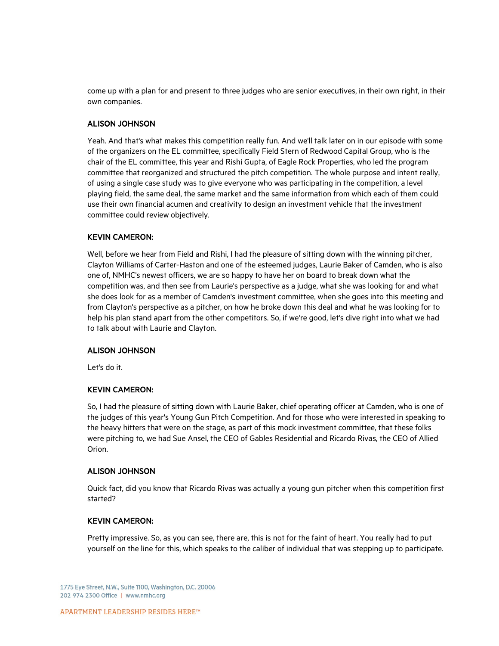come up with a plan for and present to three judges who are senior executives, in their own right, in their own companies.

## ALISON JOHNSON

Yeah. And that's what makes this competition really fun. And we'll talk later on in our episode with some of the organizers on the EL committee, specifically Field Stern of Redwood Capital Group, who is the chair of the EL committee, this year and Rishi Gupta, of Eagle Rock Properties, who led the program committee that reorganized and structured the pitch competition. The whole purpose and intent really, of using a single case study was to give everyone who was participating in the competition, a level playing field, the same deal, the same market and the same information from which each of them could use their own financial acumen and creativity to design an investment vehicle that the investment committee could review objectively.

## KEVIN CAMERON:

Well, before we hear from Field and Rishi, I had the pleasure of sitting down with the winning pitcher, Clayton Williams of Carter-Haston and one of the esteemed judges, Laurie Baker of Camden, who is also one of, NMHC's newest officers, we are so happy to have her on board to break down what the competition was, and then see from Laurie's perspective as a judge, what she was looking for and what she does look for as a member of Camden's investment committee, when she goes into this meeting and from Clayton's perspective as a pitcher, on how he broke down this deal and what he was looking for to help his plan stand apart from the other competitors. So, if we're good, let's dive right into what we had to talk about with Laurie and Clayton.

#### ALISON JOHNSON

Let's do it.

## KEVIN CAMERON:

So, I had the pleasure of sitting down with Laurie Baker, chief operating officer at Camden, who is one of the judges of this year's Young Gun Pitch Competition. And for those who were interested in speaking to the heavy hitters that were on the stage, as part of this mock investment committee, that these folks were pitching to, we had Sue Ansel, the CEO of Gables Residential and Ricardo Rivas, the CEO of Allied Orion.

#### ALISON JOHNSON

Quick fact, did you know that Ricardo Rivas was actually a young gun pitcher when this competition first started?

## KEVIN CAMERON:

Pretty impressive. So, as you can see, there are, this is not for the faint of heart. You really had to put yourself on the line for this, which speaks to the caliber of individual that was stepping up to participate.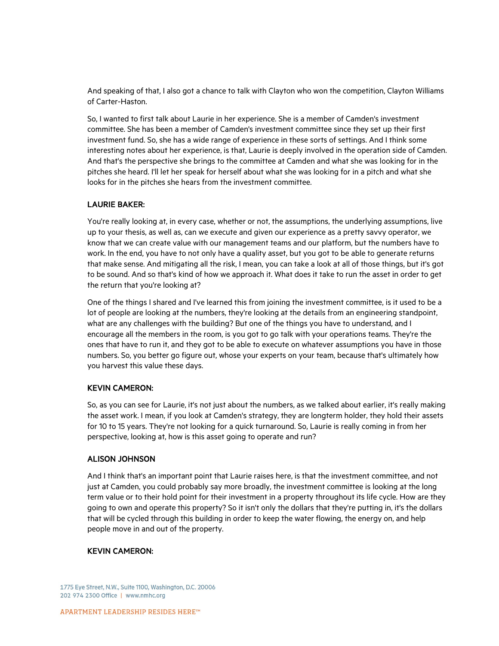And speaking of that, I also got a chance to talk with Clayton who won the competition, Clayton Williams of Carter-Haston.

So, I wanted to first talk about Laurie in her experience. She is a member of Camden's investment committee. She has been a member of Camden's investment committee since they set up their first investment fund. So, she has a wide range of experience in these sorts of settings. And I think some interesting notes about her experience, is that, Laurie is deeply involved in the operation side of Camden. And that's the perspective she brings to the committee at Camden and what she was looking for in the pitches she heard. I'll let her speak for herself about what she was looking for in a pitch and what she looks for in the pitches she hears from the investment committee.

## LAURIE BAKER:

You're really looking at, in every case, whether or not, the assumptions, the underlying assumptions, live up to your thesis, as well as, can we execute and given our experience as a pretty savvy operator, we know that we can create value with our management teams and our platform, but the numbers have to work. In the end, you have to not only have a quality asset, but you got to be able to generate returns that make sense. And mitigating all the risk, I mean, you can take a look at all of those things, but it's got to be sound. And so that's kind of how we approach it. What does it take to run the asset in order to get the return that you're looking at?

One of the things I shared and I've learned this from joining the investment committee, is it used to be a lot of people are looking at the numbers, they're looking at the details from an engineering standpoint, what are any challenges with the building? But one of the things you have to understand, and I encourage all the members in the room, is you got to go talk with your operations teams. They're the ones that have to run it, and they got to be able to execute on whatever assumptions you have in those numbers. So, you better go figure out, whose your experts on your team, because that's ultimately how you harvest this value these days.

## KEVIN CAMERON:

So, as you can see for Laurie, it's not just about the numbers, as we talked about earlier, it's really making the asset work. I mean, if you look at Camden's strategy, they are longterm holder, they hold their assets for 10 to 15 years. They're not looking for a quick turnaround. So, Laurie is really coming in from her perspective, looking at, how is this asset going to operate and run?

#### ALISON JOHNSON

And I think that's an important point that Laurie raises here, is that the investment committee, and not just at Camden, you could probably say more broadly, the investment committee is looking at the long term value or to their hold point for their investment in a property throughout its life cycle. How are they going to own and operate this property? So it isn't only the dollars that they're putting in, it's the dollars that will be cycled through this building in order to keep the water flowing, the energy on, and help people move in and out of the property.

## KEVIN CAMERON: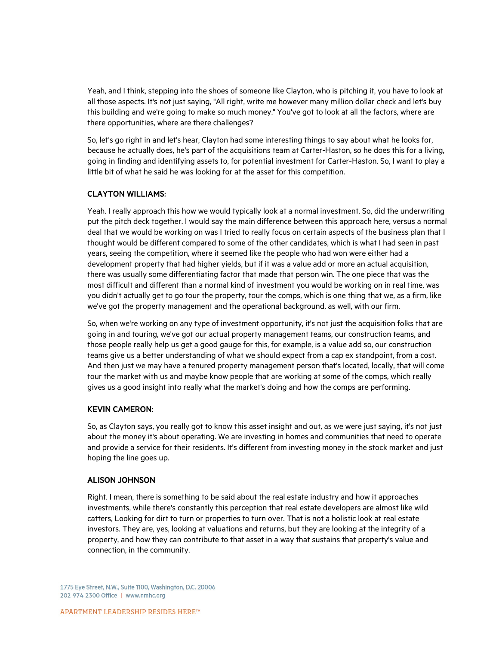Yeah, and I think, stepping into the shoes of someone like Clayton, who is pitching it, you have to look at all those aspects. It's not just saying, "All right, write me however many million dollar check and let's buy this building and we're going to make so much money." You've got to look at all the factors, where are there opportunities, where are there challenges?

So, let's go right in and let's hear, Clayton had some interesting things to say about what he looks for, because he actually does, he's part of the acquisitions team at Carter-Haston, so he does this for a living, going in finding and identifying assets to, for potential investment for Carter-Haston. So, I want to play a little bit of what he said he was looking for at the asset for this competition.

## CLAYTON WILLIAMS:

Yeah. I really approach this how we would typically look at a normal investment. So, did the underwriting put the pitch deck together. I would say the main difference between this approach here, versus a normal deal that we would be working on was I tried to really focus on certain aspects of the business plan that I thought would be different compared to some of the other candidates, which is what I had seen in past years, seeing the competition, where it seemed like the people who had won were either had a development property that had higher yields, but if it was a value add or more an actual acquisition, there was usually some differentiating factor that made that person win. The one piece that was the most difficult and different than a normal kind of investment you would be working on in real time, was you didn't actually get to go tour the property, tour the comps, which is one thing that we, as a firm, like we've got the property management and the operational background, as well, with our firm.

So, when we're working on any type of investment opportunity, it's not just the acquisition folks that are going in and touring, we've got our actual property management teams, our construction teams, and those people really help us get a good gauge for this, for example, is a value add so, our construction teams give us a better understanding of what we should expect from a cap ex standpoint, from a cost. And then just we may have a tenured property management person that's located, locally, that will come tour the market with us and maybe know people that are working at some of the comps, which really gives us a good insight into really what the market's doing and how the comps are performing.

#### KEVIN CAMERON:

So, as Clayton says, you really got to know this asset insight and out, as we were just saying, it's not just about the money it's about operating. We are investing in homes and communities that need to operate and provide a service for their residents. It's different from investing money in the stock market and just hoping the line goes up.

#### ALISON JOHNSON

Right. I mean, there is something to be said about the real estate industry and how it approaches investments, while there's constantly this perception that real estate developers are almost like wild catters, Looking for dirt to turn or properties to turn over. That is not a holistic look at real estate investors. They are, yes, looking at valuations and returns, but they are looking at the integrity of a property, and how they can contribute to that asset in a way that sustains that property's value and connection, in the community.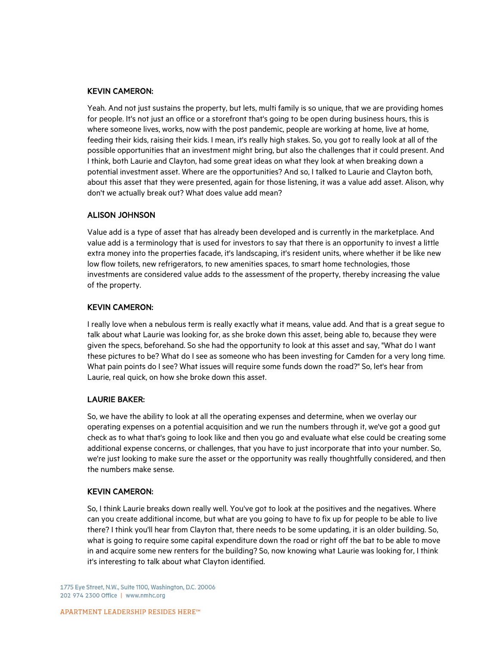Yeah. And not just sustains the property, but lets, multi family is so unique, that we are providing homes for people. It's not just an office or a storefront that's going to be open during business hours, this is where someone lives, works, now with the post pandemic, people are working at home, live at home, feeding their kids, raising their kids. I mean, it's really high stakes. So, you got to really look at all of the possible opportunities that an investment might bring, but also the challenges that it could present. And I think, both Laurie and Clayton, had some great ideas on what they look at when breaking down a potential investment asset. Where are the opportunities? And so, I talked to Laurie and Clayton both, about this asset that they were presented, again for those listening, it was a value add asset. Alison, why don't we actually break out? What does value add mean?

## ALISON JOHNSON

Value add is a type of asset that has already been developed and is currently in the marketplace. And value add is a terminology that is used for investors to say that there is an opportunity to invest a little extra money into the properties facade, it's landscaping, it's resident units, where whether it be like new low flow toilets, new refrigerators, to new amenities spaces, to smart home technologies, those investments are considered value adds to the assessment of the property, thereby increasing the value of the property.

## KEVIN CAMERON:

I really love when a nebulous term is really exactly what it means, value add. And that is a great segue to talk about what Laurie was looking for, as she broke down this asset, being able to, because they were given the specs, beforehand. So she had the opportunity to look at this asset and say, "What do I want these pictures to be? What do I see as someone who has been investing for Camden for a very long time. What pain points do I see? What issues will require some funds down the road?" So, let's hear from Laurie, real quick, on how she broke down this asset.

#### LAURIE BAKER:

So, we have the ability to look at all the operating expenses and determine, when we overlay our operating expenses on a potential acquisition and we run the numbers through it, we've got a good gut check as to what that's going to look like and then you go and evaluate what else could be creating some additional expense concerns, or challenges, that you have to just incorporate that into your number. So, we're just looking to make sure the asset or the opportunity was really thoughtfully considered, and then the numbers make sense.

## KEVIN CAMERON:

So, I think Laurie breaks down really well. You've got to look at the positives and the negatives. Where can you create additional income, but what are you going to have to fix up for people to be able to live there? I think you'll hear from Clayton that, there needs to be some updating, it is an older building. So, what is going to require some capital expenditure down the road or right off the bat to be able to move in and acquire some new renters for the building? So, now knowing what Laurie was looking for, I think it's interesting to talk about what Clayton identified.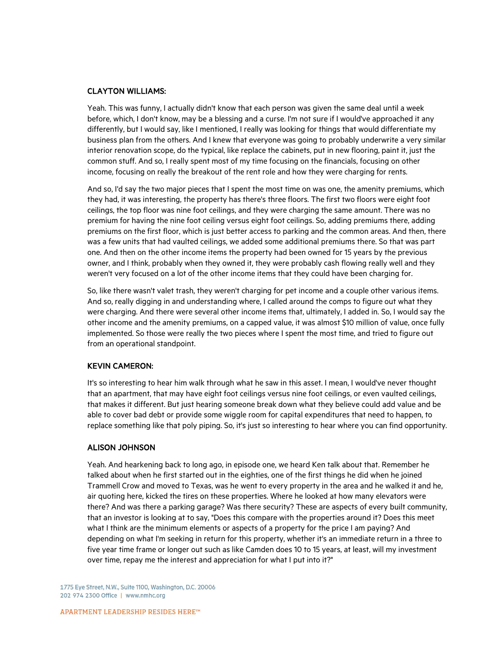#### CLAYTON WILLIAMS:

Yeah. This was funny, I actually didn't know that each person was given the same deal until a week before, which, I don't know, may be a blessing and a curse. I'm not sure if I would've approached it any differently, but I would say, like I mentioned, I really was looking for things that would differentiate my business plan from the others. And I knew that everyone was going to probably underwrite a very similar interior renovation scope, do the typical, like replace the cabinets, put in new flooring, paint it, just the common stuff. And so, I really spent most of my time focusing on the financials, focusing on other income, focusing on really the breakout of the rent role and how they were charging for rents.

And so, I'd say the two major pieces that I spent the most time on was one, the amenity premiums, which they had, it was interesting, the property has there's three floors. The first two floors were eight foot ceilings, the top floor was nine foot ceilings, and they were charging the same amount. There was no premium for having the nine foot ceiling versus eight foot ceilings. So, adding premiums there, adding premiums on the first floor, which is just better access to parking and the common areas. And then, there was a few units that had vaulted ceilings, we added some additional premiums there. So that was part one. And then on the other income items the property had been owned for 15 years by the previous owner, and I think, probably when they owned it, they were probably cash flowing really well and they weren't very focused on a lot of the other income items that they could have been charging for.

So, like there wasn't valet trash, they weren't charging for pet income and a couple other various items. And so, really digging in and understanding where, I called around the comps to figure out what they were charging. And there were several other income items that, ultimately, I added in. So, I would say the other income and the amenity premiums, on a capped value, it was almost \$10 million of value, once fully implemented. So those were really the two pieces where I spent the most time, and tried to figure out from an operational standpoint.

## KEVIN CAMERON:

It's so interesting to hear him walk through what he saw in this asset. I mean, I would've never thought that an apartment, that may have eight foot ceilings versus nine foot ceilings, or even vaulted ceilings, that makes it different. But just hearing someone break down what they believe could add value and be able to cover bad debt or provide some wiggle room for capital expenditures that need to happen, to replace something like that poly piping. So, it's just so interesting to hear where you can find opportunity.

#### ALISON JOHNSON

Yeah. And hearkening back to long ago, in episode one, we heard Ken talk about that. Remember he talked about when he first started out in the eighties, one of the first things he did when he joined Trammell Crow and moved to Texas, was he went to every property in the area and he walked it and he, air quoting here, kicked the tires on these properties. Where he looked at how many elevators were there? And was there a parking garage? Was there security? These are aspects of every built community, that an investor is looking at to say, "Does this compare with the properties around it? Does this meet what I think are the minimum elements or aspects of a property for the price I am paying? And depending on what I'm seeking in return for this property, whether it's an immediate return in a three to five year time frame or longer out such as like Camden does 10 to 15 years, at least, will my investment over time, repay me the interest and appreciation for what I put into it?"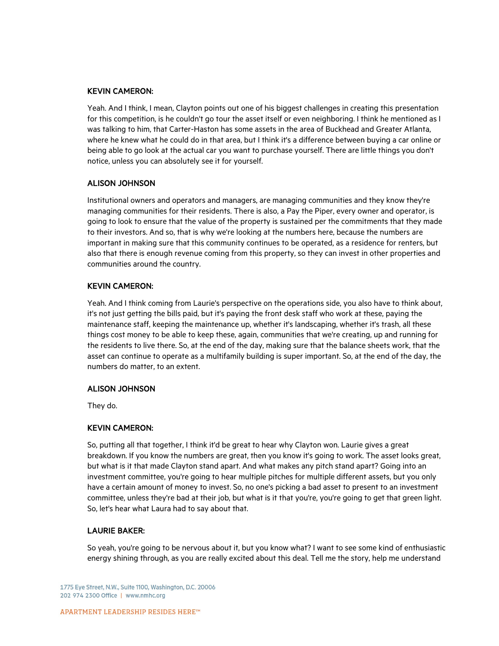Yeah. And I think, I mean, Clayton points out one of his biggest challenges in creating this presentation for this competition, is he couldn't go tour the asset itself or even neighboring. I think he mentioned as I was talking to him, that Carter-Haston has some assets in the area of Buckhead and Greater Atlanta, where he knew what he could do in that area, but I think it's a difference between buying a car online or being able to go look at the actual car you want to purchase yourself. There are little things you don't notice, unless you can absolutely see it for yourself.

## ALISON JOHNSON

Institutional owners and operators and managers, are managing communities and they know they're managing communities for their residents. There is also, a Pay the Piper, every owner and operator, is going to look to ensure that the value of the property is sustained per the commitments that they made to their investors. And so, that is why we're looking at the numbers here, because the numbers are important in making sure that this community continues to be operated, as a residence for renters, but also that there is enough revenue coming from this property, so they can invest in other properties and communities around the country.

## KEVIN CAMERON:

Yeah. And I think coming from Laurie's perspective on the operations side, you also have to think about, it's not just getting the bills paid, but it's paying the front desk staff who work at these, paying the maintenance staff, keeping the maintenance up, whether it's landscaping, whether it's trash, all these things cost money to be able to keep these, again, communities that we're creating, up and running for the residents to live there. So, at the end of the day, making sure that the balance sheets work, that the asset can continue to operate as a multifamily building is super important. So, at the end of the day, the numbers do matter, to an extent.

#### ALISON JOHNSON

They do.

## KEVIN CAMERON:

So, putting all that together, I think it'd be great to hear why Clayton won. Laurie gives a great breakdown. If you know the numbers are great, then you know it's going to work. The asset looks great, but what is it that made Clayton stand apart. And what makes any pitch stand apart? Going into an investment committee, you're going to hear multiple pitches for multiple different assets, but you only have a certain amount of money to invest. So, no one's picking a bad asset to present to an investment committee, unless they're bad at their job, but what is it that you're, you're going to get that green light. So, let's hear what Laura had to say about that.

#### LAURIE BAKER:

So yeah, you're going to be nervous about it, but you know what? I want to see some kind of enthusiastic energy shining through, as you are really excited about this deal. Tell me the story, help me understand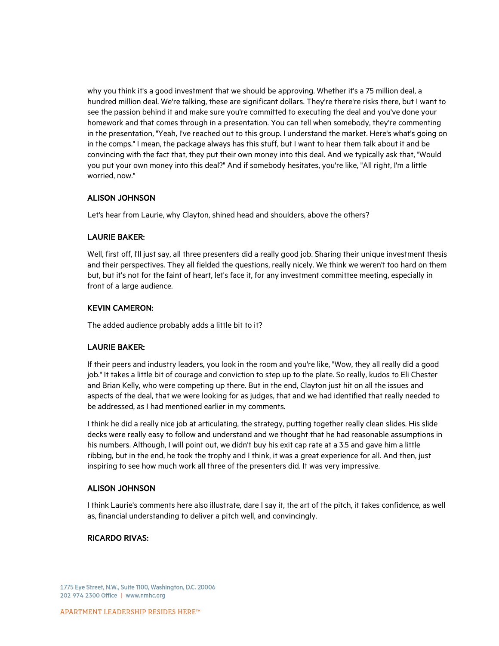why you think it's a good investment that we should be approving. Whether it's a 75 million deal, a hundred million deal. We're talking, these are significant dollars. They're there're risks there, but I want to see the passion behind it and make sure you're committed to executing the deal and you've done your homework and that comes through in a presentation. You can tell when somebody, they're commenting in the presentation, "Yeah, I've reached out to this group. I understand the market. Here's what's going on in the comps." I mean, the package always has this stuff, but I want to hear them talk about it and be convincing with the fact that, they put their own money into this deal. And we typically ask that, "Would you put your own money into this deal?" And if somebody hesitates, you're like, "All right, I'm a little worried, now."

## ALISON JOHNSON

Let's hear from Laurie, why Clayton, shined head and shoulders, above the others?

## LAURIE BAKER:

Well, first off, I'll just say, all three presenters did a really good job. Sharing their unique investment thesis and their perspectives. They all fielded the questions, really nicely. We think we weren't too hard on them but, but it's not for the faint of heart, let's face it, for any investment committee meeting, especially in front of a large audience.

## KEVIN CAMERON:

The added audience probably adds a little bit to it?

#### LAURIE BAKER:

If their peers and industry leaders, you look in the room and you're like, "Wow, they all really did a good job." It takes a little bit of courage and conviction to step up to the plate. So really, kudos to Eli Chester and Brian Kelly, who were competing up there. But in the end, Clayton just hit on all the issues and aspects of the deal, that we were looking for as judges, that and we had identified that really needed to be addressed, as I had mentioned earlier in my comments.

I think he did a really nice job at articulating, the strategy, putting together really clean slides. His slide decks were really easy to follow and understand and we thought that he had reasonable assumptions in his numbers. Although, I will point out, we didn't buy his exit cap rate at a 3.5 and gave him a little ribbing, but in the end, he took the trophy and I think, it was a great experience for all. And then, just inspiring to see how much work all three of the presenters did. It was very impressive.

#### ALISON JOHNSON

I think Laurie's comments here also illustrate, dare I say it, the art of the pitch, it takes confidence, as well as, financial understanding to deliver a pitch well, and convincingly.

## RICARDO RIVAS: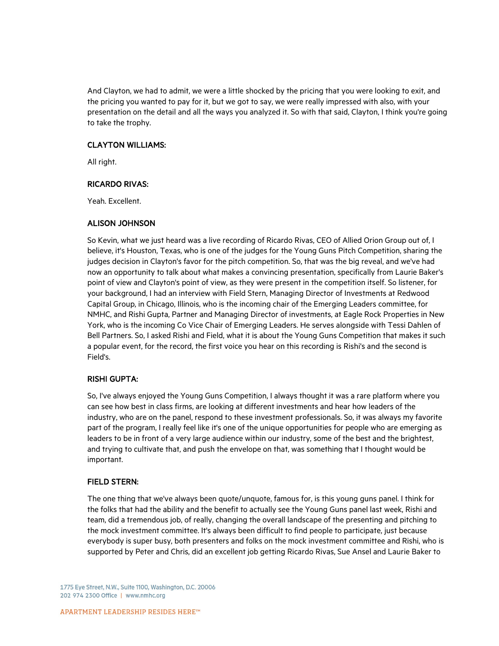And Clayton, we had to admit, we were a little shocked by the pricing that you were looking to exit, and the pricing you wanted to pay for it, but we got to say, we were really impressed with also, with your presentation on the detail and all the ways you analyzed it. So with that said, Clayton, I think you're going to take the trophy.

## CLAYTON WILLIAMS:

All right.

## RICARDO RIVAS:

Yeah. Excellent.

## ALISON JOHNSON

So Kevin, what we just heard was a live recording of Ricardo Rivas, CEO of Allied Orion Group out of, I believe, it's Houston, Texas, who is one of the judges for the Young Guns Pitch Competition, sharing the judges decision in Clayton's favor for the pitch competition. So, that was the big reveal, and we've had now an opportunity to talk about what makes a convincing presentation, specifically from Laurie Baker's point of view and Clayton's point of view, as they were present in the competition itself. So listener, for your background, I had an interview with Field Stern, Managing Director of Investments at Redwood Capital Group, in Chicago, Illinois, who is the incoming chair of the Emerging Leaders committee, for NMHC, and Rishi Gupta, Partner and Managing Director of investments, at Eagle Rock Properties in New York, who is the incoming Co Vice Chair of Emerging Leaders. He serves alongside with Tessi Dahlen of Bell Partners. So, I asked Rishi and Field, what it is about the Young Guns Competition that makes it such a popular event, for the record, the first voice you hear on this recording is Rishi's and the second is Field's.

## RISHI GUPTA:

So, I've always enjoyed the Young Guns Competition, I always thought it was a rare platform where you can see how best in class firms, are looking at different investments and hear how leaders of the industry, who are on the panel, respond to these investment professionals. So, it was always my favorite part of the program, I really feel like it's one of the unique opportunities for people who are emerging as leaders to be in front of a very large audience within our industry, some of the best and the brightest, and trying to cultivate that, and push the envelope on that, was something that I thought would be important.

## FIELD STERN:

The one thing that we've always been quote/unquote, famous for, is this young guns panel. I think for the folks that had the ability and the benefit to actually see the Young Guns panel last week, Rishi and team, did a tremendous job, of really, changing the overall landscape of the presenting and pitching to the mock investment committee. It's always been difficult to find people to participate, just because everybody is super busy, both presenters and folks on the mock investment committee and Rishi, who is supported by Peter and Chris, did an excellent job getting Ricardo Rivas, Sue Ansel and Laurie Baker to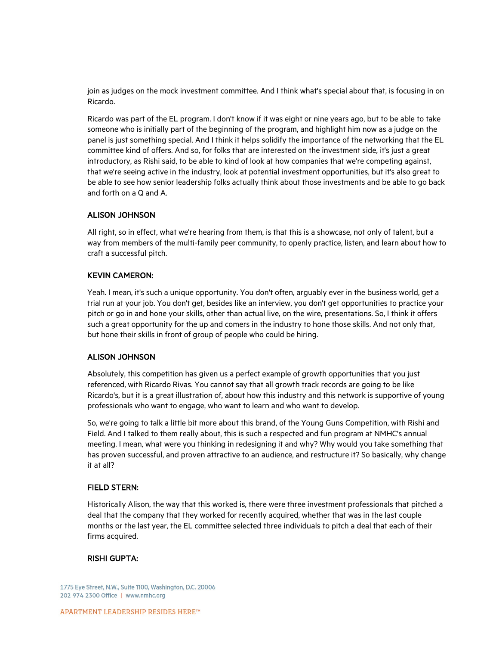join as judges on the mock investment committee. And I think what's special about that, is focusing in on Ricardo.

Ricardo was part of the EL program. I don't know if it was eight or nine years ago, but to be able to take someone who is initially part of the beginning of the program, and highlight him now as a judge on the panel is just something special. And I think it helps solidify the importance of the networking that the EL committee kind of offers. And so, for folks that are interested on the investment side, it's just a great introductory, as Rishi said, to be able to kind of look at how companies that we're competing against, that we're seeing active in the industry, look at potential investment opportunities, but it's also great to be able to see how senior leadership folks actually think about those investments and be able to go back and forth on a Q and A.

## ALISON JOHNSON

All right, so in effect, what we're hearing from them, is that this is a showcase, not only of talent, but a way from members of the multi-family peer community, to openly practice, listen, and learn about how to craft a successful pitch.

## KEVIN CAMERON:

Yeah. I mean, it's such a unique opportunity. You don't often, arguably ever in the business world, get a trial run at your job. You don't get, besides like an interview, you don't get opportunities to practice your pitch or go in and hone your skills, other than actual live, on the wire, presentations. So, I think it offers such a great opportunity for the up and comers in the industry to hone those skills. And not only that, but hone their skills in front of group of people who could be hiring.

#### ALISON JOHNSON

Absolutely, this competition has given us a perfect example of growth opportunities that you just referenced, with Ricardo Rivas. You cannot say that all growth track records are going to be like Ricardo's, but it is a great illustration of, about how this industry and this network is supportive of young professionals who want to engage, who want to learn and who want to develop.

So, we're going to talk a little bit more about this brand, of the Young Guns Competition, with Rishi and Field. And I talked to them really about, this is such a respected and fun program at NMHC's annual meeting. I mean, what were you thinking in redesigning it and why? Why would you take something that has proven successful, and proven attractive to an audience, and restructure it? So basically, why change it at all?

#### FIELD STERN:

Historically Alison, the way that this worked is, there were three investment professionals that pitched a deal that the company that they worked for recently acquired, whether that was in the last couple months or the last year, the EL committee selected three individuals to pitch a deal that each of their firms acquired.

#### RISHI GUPTA: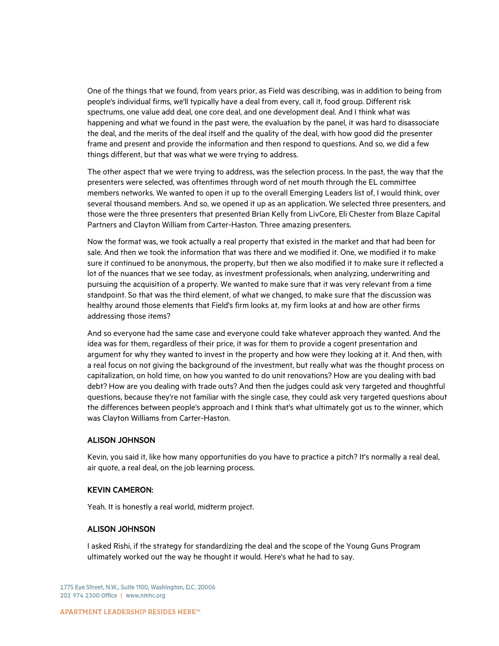One of the things that we found, from years prior, as Field was describing, was in addition to being from people's individual firms, we'll typically have a deal from every, call it, food group. Different risk spectrums, one value add deal, one core deal, and one development deal. And I think what was happening and what we found in the past were, the evaluation by the panel, it was hard to disassociate the deal, and the merits of the deal itself and the quality of the deal, with how good did the presenter frame and present and provide the information and then respond to questions. And so, we did a few things different, but that was what we were trying to address.

The other aspect that we were trying to address, was the selection process. In the past, the way that the presenters were selected, was oftentimes through word of net mouth through the EL committee members networks. We wanted to open it up to the overall Emerging Leaders list of, I would think, over several thousand members. And so, we opened it up as an application. We selected three presenters, and those were the three presenters that presented Brian Kelly from LivCore, Eli Chester from Blaze Capital Partners and Clayton William from Carter-Haston. Three amazing presenters.

Now the format was, we took actually a real property that existed in the market and that had been for sale. And then we took the information that was there and we modified it. One, we modified it to make sure it continued to be anonymous, the property, but then we also modified it to make sure it reflected a lot of the nuances that we see today, as investment professionals, when analyzing, underwriting and pursuing the acquisition of a property. We wanted to make sure that it was very relevant from a time standpoint. So that was the third element, of what we changed, to make sure that the discussion was healthy around those elements that Field's firm looks at, my firm looks at and how are other firms addressing those items?

And so everyone had the same case and everyone could take whatever approach they wanted. And the idea was for them, regardless of their price, it was for them to provide a cogent presentation and argument for why they wanted to invest in the property and how were they looking at it. And then, with a real focus on not giving the background of the investment, but really what was the thought process on capitalization, on hold time, on how you wanted to do unit renovations? How are you dealing with bad debt? How are you dealing with trade outs? And then the judges could ask very targeted and thoughtful questions, because they're not familiar with the single case, they could ask very targeted questions about the differences between people's approach and I think that's what ultimately got us to the winner, which was Clayton Williams from Carter-Haston.

#### ALISON JOHNSON

Kevin, you said it, like how many opportunities do you have to practice a pitch? It's normally a real deal, air quote, a real deal, on the job learning process.

#### KEVIN CAMERON:

Yeah. It is honestly a real world, midterm project.

#### ALISON JOHNSON

I asked Rishi, if the strategy for standardizing the deal and the scope of the Young Guns Program ultimately worked out the way he thought it would. Here's what he had to say.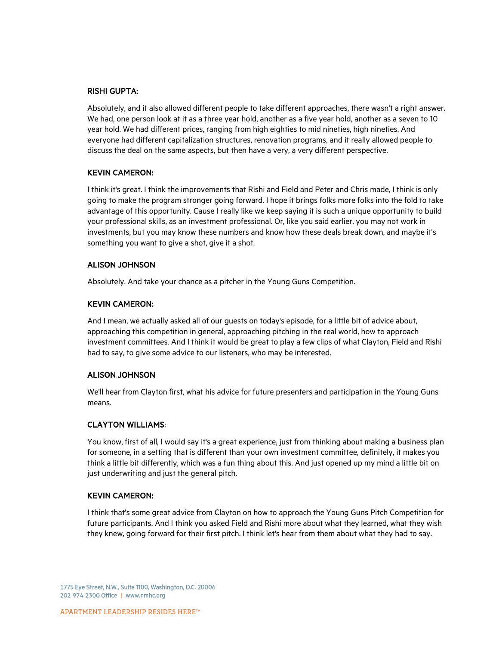## RISHI GUPTA:

Absolutely, and it also allowed different people to take different approaches, there wasn't a right answer. We had, one person look at it as a three year hold, another as a five year hold, another as a seven to 10 year hold. We had different prices, ranging from high eighties to mid nineties, high nineties. And everyone had different capitalization structures, renovation programs, and it really allowed people to discuss the deal on the same aspects, but then have a very, a very different perspective.

## KEVIN CAMERON:

I think it's great. I think the improvements that Rishi and Field and Peter and Chris made, I think is only going to make the program stronger going forward. I hope it brings folks more folks into the fold to take advantage of this opportunity. Cause I really like we keep saying it is such a unique opportunity to build your professional skills, as an investment professional. Or, like you said earlier, you may not work in investments, but you may know these numbers and know how these deals break down, and maybe it's something you want to give a shot, give it a shot.

#### ALISON JOHNSON

Absolutely. And take your chance as a pitcher in the Young Guns Competition.

## KEVIN CAMERON:

And I mean, we actually asked all of our guests on today's episode, for a little bit of advice about, approaching this competition in general, approaching pitching in the real world, how to approach investment committees. And I think it would be great to play a few clips of what Clayton, Field and Rishi had to say, to give some advice to our listeners, who may be interested.

#### ALISON JOHNSON

We'll hear from Clayton first, what his advice for future presenters and participation in the Young Guns means.

## CLAYTON WILLIAMS:

You know, first of all, I would say it's a great experience, just from thinking about making a business plan for someone, in a setting that is different than your own investment committee, definitely, it makes you think a little bit differently, which was a fun thing about this. And just opened up my mind a little bit on just underwriting and just the general pitch.

## KEVIN CAMERON:

I think that's some great advice from Clayton on how to approach the Young Guns Pitch Competition for future participants. And I think you asked Field and Rishi more about what they learned, what they wish they knew, going forward for their first pitch. I think let's hear from them about what they had to say.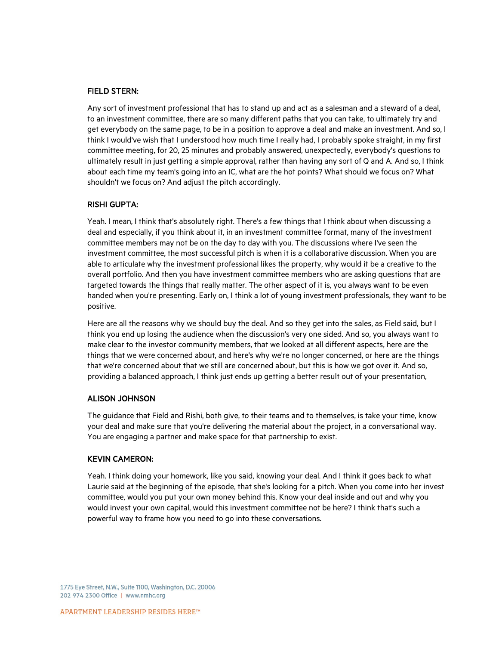#### FIELD STERN:

Any sort of investment professional that has to stand up and act as a salesman and a steward of a deal, to an investment committee, there are so many different paths that you can take, to ultimately try and get everybody on the same page, to be in a position to approve a deal and make an investment. And so, I think I would've wish that I understood how much time I really had, I probably spoke straight, in my first committee meeting, for 20, 25 minutes and probably answered, unexpectedly, everybody's questions to ultimately result in just getting a simple approval, rather than having any sort of Q and A. And so, I think about each time my team's going into an IC, what are the hot points? What should we focus on? What shouldn't we focus on? And adjust the pitch accordingly.

## RISHI GUPTA:

Yeah. I mean, I think that's absolutely right. There's a few things that I think about when discussing a deal and especially, if you think about it, in an investment committee format, many of the investment committee members may not be on the day to day with you. The discussions where I've seen the investment committee, the most successful pitch is when it is a collaborative discussion. When you are able to articulate why the investment professional likes the property, why would it be a creative to the overall portfolio. And then you have investment committee members who are asking questions that are targeted towards the things that really matter. The other aspect of it is, you always want to be even handed when you're presenting. Early on, I think a lot of young investment professionals, they want to be positive.

Here are all the reasons why we should buy the deal. And so they get into the sales, as Field said, but I think you end up losing the audience when the discussion's very one sided. And so, you always want to make clear to the investor community members, that we looked at all different aspects, here are the things that we were concerned about, and here's why we're no longer concerned, or here are the things that we're concerned about that we still are concerned about, but this is how we got over it. And so, providing a balanced approach, I think just ends up getting a better result out of your presentation,

#### ALISON JOHNSON

The guidance that Field and Rishi, both give, to their teams and to themselves, is take your time, know your deal and make sure that you're delivering the material about the project, in a conversational way. You are engaging a partner and make space for that partnership to exist.

#### KEVIN CAMERON:

Yeah. I think doing your homework, like you said, knowing your deal. And I think it goes back to what Laurie said at the beginning of the episode, that she's looking for a pitch. When you come into her invest committee, would you put your own money behind this. Know your deal inside and out and why you would invest your own capital, would this investment committee not be here? I think that's such a powerful way to frame how you need to go into these conversations.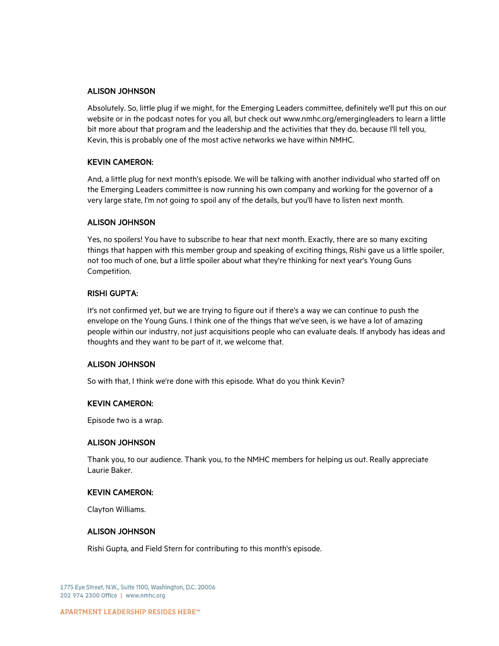#### ALISON JOHNSON

Absolutely. So, little plug if we might, for the Emerging Leaders committee, definitely we'll put this on our website or in the podcast notes for you all, but check out www.nmhc.org/emergingleaders to learn a little bit more about that program and the leadership and the activities that they do, because I'll tell you, Kevin, this is probably one of the most active networks we have within NMHC.

## KEVIN CAMERON:

And, a little plug for next month's episode. We will be talking with another individual who started off on the Emerging Leaders committee is now running his own company and working for the governor of a very large state, I'm not going to spoil any of the details, but you'll have to listen next month.

## ALISON JOHNSON

Yes, no spoilers! You have to subscribe to hear that next month. Exactly, there are so many exciting things that happen with this member group and speaking of exciting things, Rishi gave us a little spoiler, not too much of one, but a little spoiler about what they're thinking for next year's Young Guns Competition.

## RISHI GUPTA:

It's not confirmed yet, but we are trying to figure out if there's a way we can continue to push the envelope on the Young Guns. I think one of the things that we've seen, is we have a lot of amazing people within our industry, not just acquisitions people who can evaluate deals. If anybody has ideas and thoughts and they want to be part of it, we welcome that.

#### ALISON JOHNSON

So with that, I think we're done with this episode. What do you think Kevin?

#### KEVIN CAMERON:

Episode two is a wrap.

#### ALISON JOHNSON

Thank you, to our audience. Thank you, to the NMHC members for helping us out. Really appreciate Laurie Baker.

#### KEVIN CAMERON:

Clayton Williams.

#### ALISON JOHNSON

Rishi Gupta, and Field Stern for contributing to this month's episode.